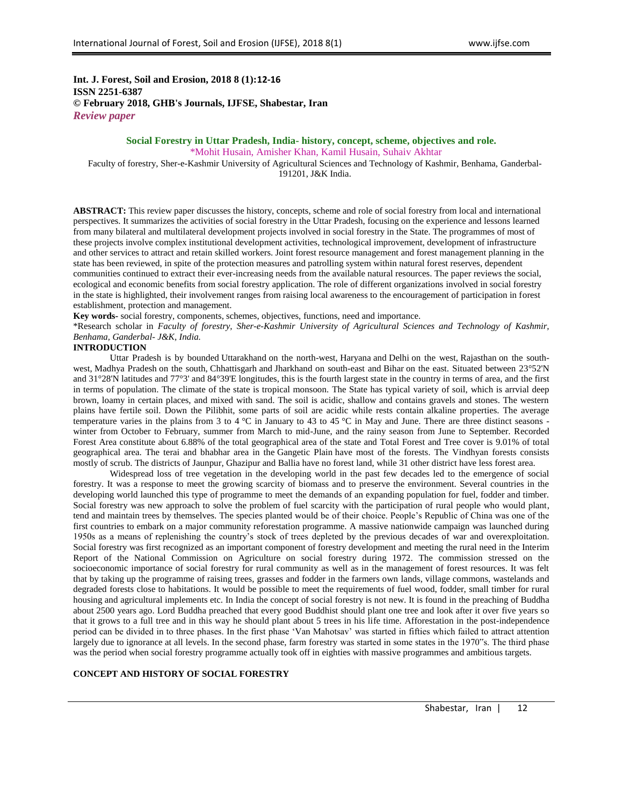# **Int. J. Forest, Soil and Erosion, 2018 8 (1):12-16 ISSN 2251-6387 © February 2018, GHB's Journals, IJFSE, Shabestar, Iran** *Review paper*

# **Social Forestry in Uttar Pradesh, India- history, concept, scheme, objectives and role.** \*Mohit Husain, Amisher Khan, Kamil Husain, Suhaiv Akhtar

Faculty of forestry, Sher-e-Kashmir University of Agricultural Sciences and Technology of Kashmir, Benhama, Ganderbal-191201, J&K India.

**ABSTRACT:** This review paper discusses the history, concepts, scheme and role of social forestry from local and international perspectives. It summarizes the activities of social forestry in the Uttar Pradesh, focusing on the experience and lessons learned from many bilateral and multilateral development projects involved in social forestry in the State. The programmes of most of these projects involve complex institutional development activities, technological improvement, development of infrastructure and other services to attract and retain skilled workers. Joint forest resource management and forest management planning in the state has been reviewed, in spite of the protection measures and patrolling system within natural forest reserves, dependent communities continued to extract their ever-increasing needs from the available natural resources. The paper reviews the social, ecological and economic benefits from social forestry application. The role of different organizations involved in social forestry in the state is highlighted, their involvement ranges from raising local awareness to the encouragement of participation in forest establishment, protection and management.

**Key words-** social forestry, components, schemes, objectives, functions, need and importance.

\*Research scholar in *Faculty of forestry, Sher-e-Kashmir University of Agricultural Sciences and Technology of Kashmir, Benhama, Ganderbal- J&K, India.*

#### **INTRODUCTION**

Uttar Pradesh is by bounded [Uttarakhand](https://en.wikipedia.org/wiki/Uttarakhand) on the north-west, [Haryana](https://en.wikipedia.org/wiki/Haryana) and [Delhi](https://en.wikipedia.org/wiki/Delhi) on the west, [Rajasthan](https://en.wikipedia.org/wiki/Rajasthan) on the southwest, [Madhya Pradesh](https://en.wikipedia.org/wiki/Madhya_Pradesh) on the south, [Chhattisgarh](https://en.wikipedia.org/wiki/Chhattisgarh) and [Jharkhand](https://en.wikipedia.org/wiki/Jharkhand) on south-east and [Bihar](https://en.wikipedia.org/wiki/Bihar) on the east. Situated between 23°52'N and 31°28'N latitudes and 77°3' and 84°39'E longitudes, this is the fourth largest state in the country in terms of area, and the first in terms of population. The climate of the state is tropical monsoon. The State has typical variety of soil, which is arrvial deep brown, loamy in certain places, and mixed with sand. The soil is acidic, shallow and contains gravels and stones. The western plains have fertile soil. Down the Pilibhit, some parts of soil are acidic while rests contain alkaline properties. The average temperature varies in the plains from 3 to 4  $^{\circ}$ C in January to 43 to 45  $^{\circ}$ C in May and June. There are three distinct seasons winter from October to February, summer from March to mid-June, and the rainy season from June to September. Recorded Forest Area constitute about 6.88% of the total geographical area of the state and Total Forest and Tree cover is 9.01% of total geographical area. The terai and bhabhar area in the [Gangetic Plain](https://en.wikipedia.org/wiki/Gangetic_Plain) have most of the forests. The Vindhyan forests consists mostly of scrub. The districts of [Jaunpur,](https://en.wikipedia.org/wiki/Jaunpur_district) [Ghazipur](https://en.wikipedia.org/wiki/Ghazipur_district) and [Ballia](https://en.wikipedia.org/wiki/Ballia_district) have no forest land, while 31 other district have less forest area.

Widespread loss of tree vegetation in the developing world in the past few decades led to the emergence of social forestry. It was a response to meet the growing scarcity of biomass and to preserve the environment. Several countries in the developing world launched this type of programme to meet the demands of an expanding population for fuel, fodder and timber. Social forestry was new approach to solve the problem of fuel scarcity with the participation of rural people who would plant, tend and maintain trees by themselves. The species planted would be of their choice. People"s Republic of China was one of the first countries to embark on a major community reforestation programme. A massive nationwide campaign was launched during 1950s as a means of replenishing the country"s stock of trees depleted by the previous decades of war and overexploitation. Social forestry was first recognized as an important component of forestry development and meeting the rural need in the Interim Report of the National Commission on Agriculture on social forestry during 1972. The commission stressed on the socioeconomic importance of social forestry for rural community as well as in the management of forest resources. It was felt that by taking up the programme of raising trees, grasses and fodder in the farmers own lands, village commons, wastelands and degraded forests close to habitations. It would be possible to meet the requirements of fuel wood, fodder, small timber for rural housing and agricultural implements etc. In India the concept of social forestry is not new. It is found in the preaching of Buddha about 2500 years ago. Lord Buddha preached that every good Buddhist should plant one tree and look after it over five years so that it grows to a full tree and in this way he should plant about 5 trees in his life time. Afforestation in the post-independence period can be divided in to three phases. In the first phase "Van Mahotsav" was started in fifties which failed to attract attention largely due to ignorance at all levels. In the second phase, farm forestry was started in some states in the 1970"s. The third phase was the period when social forestry programme actually took off in eighties with massive programmes and ambitious targets.

### **CONCEPT AND HISTORY OF SOCIAL FORESTRY**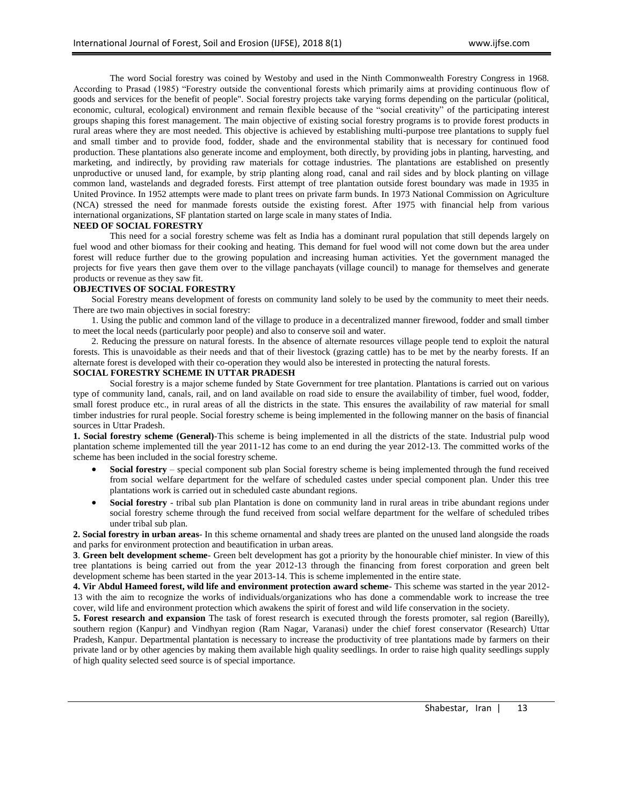The word Social forestry was coined by Westoby and used in the Ninth Commonwealth Forestry Congress in 1968. According to Prasad (1985) "Forestry outside the conventional forests which primarily aims at providing continuous flow of goods and services for the benefit of people". Social forestry projects take varying forms depending on the particular (political, economic, cultural, ecological) environment and remain flexible because of the "social creativity" of the participating interest groups shaping this forest management. The main objective of existing social forestry programs is to provide forest products in rural areas where they are most needed. This objective is achieved by establishing multi-purpose tree plantations to supply fuel and small timber and to provide food, fodder, shade and the environmental stability that is necessary for continued food production. These plantations also generate income and employment, both directly, by providing jobs in planting, harvesting, and marketing, and indirectly, by providing raw materials for cottage industries. The plantations are established on presently unproductive or unused land, for example, by strip planting along road, canal and rail sides and by block planting on village common land, wastelands and degraded forests. First attempt of tree plantation outside forest boundary was made in 1935 in United Province. In 1952 attempts were made to plant trees on private farm bunds. In 1973 National Commission on Agriculture (NCA) stressed the need for manmade forests outside the existing forest. After 1975 with financial help from various international organizations, SF plantation started on large scale in many states of India.

### **NEED OF SOCIAL FORESTRY**

This need for a social forestry scheme was felt as India has a dominant rural population that still depends largely on fuel wood and other biomass for their cooking and heating. This demand for fuel wood will not come down but the area under forest will reduce further due to the growing population and increasing human activities. Yet the government managed the projects for five years then gave them over to the [village panchayats](https://en.wikipedia.org/wiki/Village_panchayats) (village council) to manage for themselves and generate products or revenue as they saw fit.

## **OBJECTIVES OF SOCIAL FORESTRY**

Social Forestry means development of forests on community land solely to be used by the community to meet their needs. There are two main objectives in social forestry:

1. Using the public and common land of the village to produce in a decentralized manner firewood, fodder and small timber to meet the local needs (particularly poor people) and also to conserve soil and water.

2. Reducing the pressure on natural forests. In the absence of alternate resources village people tend to exploit the natural forests. This is unavoidable as their needs and that of their livestock (grazing cattle) has to be met by the nearby forests. If an alternate forest is developed with their co-operation they would also be interested in protecting the natural forests.

## **SOCIAL FORESTRY SCHEME IN UTTAR PRADESH**

Social forestry is a major scheme funded by State Government for tree plantation. Plantations is carried out on various type of community land, canals, rail, and on land available on road side to ensure the availability of timber, fuel wood, fodder, small forest produce etc., in rural areas of all the districts in the state. This ensures the availability of raw material for small timber industries for rural people. Social forestry scheme is being implemented in the following manner on the basis of financial sources in Uttar Pradesh.

**1. Social forestry scheme (General)**-This scheme is being implemented in all the districts of the state. Industrial pulp wood plantation scheme implemented till the year 2011-12 has come to an end during the year 2012-13. The committed works of the scheme has been included in the social forestry scheme.

- **Social forestry** special component sub plan Social forestry scheme is being implemented through the fund received from social welfare department for the welfare of scheduled castes under special component plan. Under this tree plantations work is carried out in scheduled caste abundant regions.
- **Social forestry** tribal sub plan Plantation is done on community land in rural areas in tribe abundant regions under social forestry scheme through the fund received from social welfare department for the welfare of scheduled tribes under tribal sub plan.

**2. Social forestry in urban areas**- In this scheme ornamental and shady trees are planted on the unused land alongside the roads and parks for environment protection and beautification in urban areas.

**3**. **Green belt development scheme**- Green belt development has got a priority by the honourable chief minister. In view of this tree plantations is being carried out from the year 2012-13 through the financing from forest corporation and green belt development scheme has been started in the year 2013-14. This is scheme implemented in the entire state.

**4. Vir Abdul Hameed forest, wild life and environment protection award scheme**- This scheme was started in the year 2012- 13 with the aim to recognize the works of individuals/organizations who has done a commendable work to increase the tree cover, wild life and environment protection which awakens the spirit of forest and wild life conservation in the society.

**5. Forest research and expansion** The task of forest research is executed through the forests promoter, sal region (Bareilly), southern region (Kanpur) and Vindhyan region (Ram Nagar, Varanasi) under the chief forest conservator (Research) Uttar Pradesh, Kanpur. Departmental plantation is necessary to increase the productivity of tree plantations made by farmers on their private land or by other agencies by making them available high quality seedlings. In order to raise high quality seedlings supply of high quality selected seed source is of special importance.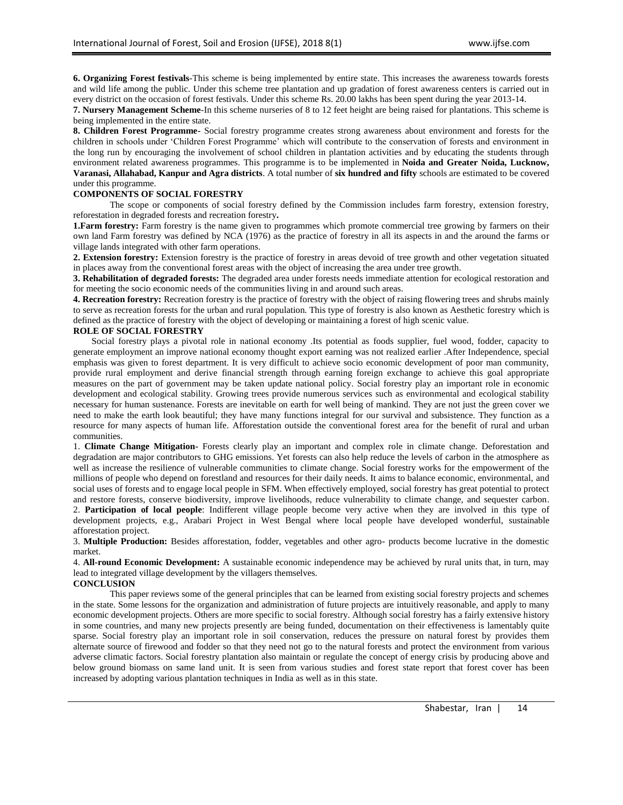**6. Organizing Forest festivals**-This scheme is being implemented by entire state. This increases the awareness towards forests and wild life among the public. Under this scheme tree plantation and up gradation of forest awareness centers is carried out in every district on the occasion of forest festivals. Under this scheme Rs. 20.00 lakhs has been spent during the year 2013-14.

**7. Nursery Management Scheme**-In this scheme nurseries of 8 to 12 feet height are being raised for plantations. This scheme is being implemented in the entire state.

**8. Children Forest Programme-** Social forestry programme creates strong awareness about environment and forests for the children in schools under "Children Forest Programme" which will contribute to the conservation of forests and environment in the long run by encouraging the involvement of school children in plantation activities and by educating the students through environment related awareness programmes. This programme is to be implemented in **Noida and Greater Noida, Lucknow, Varanasi, Allahabad, Kanpur and Agra districts**. A total number of **six hundred and fifty** schools are estimated to be covered under this programme.

#### **COMPONENTS OF SOCIAL FORESTRY**

The scope or components of social forestry defined by the Commission includes farm forestry, extension forestry, reforestation in degraded forests and recreation forestry**.** 

**1.Farm forestry:** Farm forestry is the name given to programmes which promote commercial tree growing by farmers on their own land Farm forestry was defined by NCA (1976) as the practice of forestry in all its aspects in and the around the farms or village lands integrated with other farm operations.

**2. Extension forestry:** Extension forestry is the practice of forestry in areas devoid of tree growth and other vegetation situated in places away from the conventional forest areas with the object of increasing the area under tree growth.

**3. Rehabilitation of degraded forests:** The degraded area under forests needs immediate attention for ecological restoration and for meeting the socio economic needs of the communities living in and around such areas.

**4. Recreation forestry:** Recreation forestry is the practice of forestry with the object of raising flowering trees and shrubs mainly to serve as recreation forests for the urban and rural population. This type of forestry is also known as Aesthetic forestry which is defined as the practice of forestry with the object of developing or maintaining a forest of high scenic value.

#### **ROLE OF SOCIAL FORESTRY**

Social forestry plays a pivotal role in national economy .Its potential as foods supplier, fuel wood, fodder, capacity to generate employment an improve national economy thought export earning was not realized earlier .After Independence, special emphasis was given to forest department. It is very difficult to achieve socio economic development of poor man community, provide rural employment and derive financial strength through earning foreign exchange to achieve this goal appropriate measures on the part of government may be taken update national policy. Social forestry play an important role in economic development and ecological stability. Growing trees provide numerous services such as environmental and ecological stability necessary for human sustenance. Forests are inevitable on earth for well being of mankind. They are not just the green cover we need to make the earth look beautiful; they have many functions integral for our survival and subsistence. They function as a resource for many aspects of human life. Afforestation outside the conventional forest area for the benefit of rural and urban communities.

1. **Climate Change Mitigation-** Forests clearly play an important and complex role in climate change. Deforestation and degradation are major contributors to GHG emissions. Yet forests can also help reduce the levels of carbon in the atmosphere as well as increase the resilience of vulnerable communities to climate change. Social forestry works for the empowerment of the millions of people who depend on forestland and resources for their daily needs. It aims to balance economic, environmental, and social uses of forests and to engage local people in SFM. When effectively employed, social forestry has great potential to protect and restore forests, conserve biodiversity, improve livelihoods, reduce vulnerability to climate change, and sequester carbon.

2. **Participation of local people**: Indifferent village people become very active when they are involved in this type of development projects, e.g., Arabari Project in West Bengal where local people have developed wonderful, sustainable afforestation project.

3. **Multiple Production:** Besides afforestation, fodder, vegetables and other agro- products become lucrative in the domestic market.

4. **All-round Economic Development:** A sustainable economic independence may be achieved by rural units that, in turn, may lead to integrated village development by the villagers themselves.

#### **CONCLUSION**

This paper reviews some of the general principles that can be learned from existing social forestry projects and schemes in the state. Some lessons for the organization and administration of future projects are intuitively reasonable, and apply to many economic development projects. Others are more specific to social forestry. Although social forestry has a fairly extensive history in some countries, and many new projects presently are being funded, documentation on their effectiveness is lamentably quite sparse. Social forestry play an important role in soil conservation, reduces the pressure on natural forest by provides them alternate source of firewood and fodder so that they need not go to the natural forests and protect the environment from various adverse climatic factors. Social forestry plantation also maintain or regulate the concept of energy crisis by producing above and below ground biomass on same land unit. It is seen from various studies and forest state report that forest cover has been increased by adopting various plantation techniques in India as well as in this state.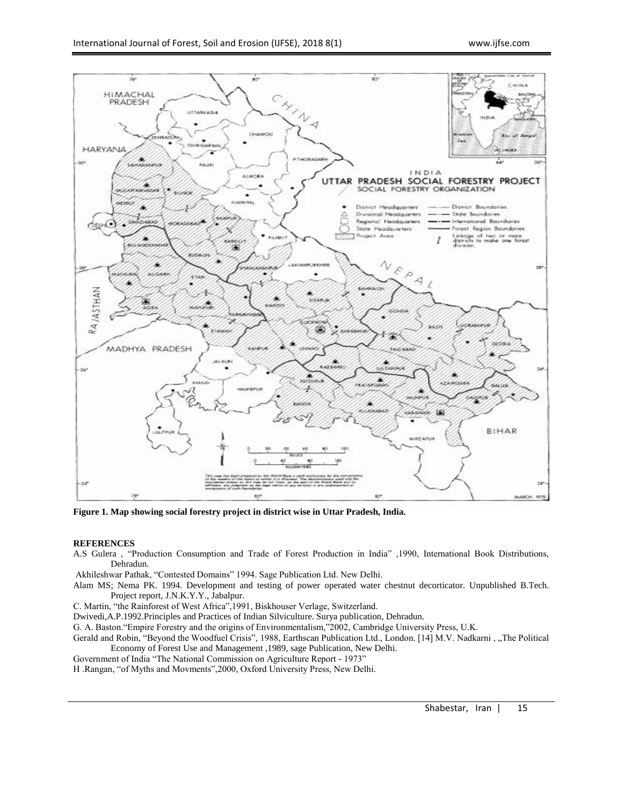

**Figure 1. Map showing social forestry project in district wise in Uttar Pradesh, India.**

## **REFERENCES**

A.S Gulera , "Production Consumption and Trade of Forest Production in India" ,1990, International Book Distributions, Dehradun.

Akhileshwar Pathak, "Contested Domains" 1994. Sage Publication Ltd. New Delhi.

Alam MS; Nema PK. 1994. Development and testing of power operated water chestnut decorticator. Unpublished B.Tech. Project report, J.N.K.Y.Y., Jabalpur.

C. Martin, "the Rainforest of West Africa",1991, Biskhouser Verlage, Switzerland.

Dwivedi,A.P.1992.Principles and Practices of Indian Silviculture. Surya publication, Dehradun.

G. A. Baston."Empire Forestry and the origins of Environmentalism,"2002, Cambridge University Press, U.K.

Gerald and Robin, "Beyond the Woodfuel Crisis", 1988, Earthscan Publication Ltd., London. [14] M.V. Nadkarni, "The Political Economy of Forest Use and Management ,1989, sage Publication, New Delhi.

Government of India "The National Commission on Agriculture Report - 1973"

H .Rangan, "of Myths and Movments",2000, Oxford University Press, New Delhi.